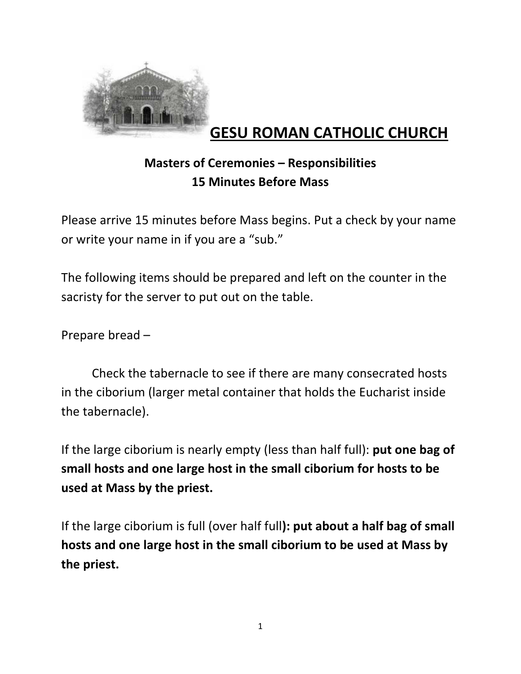

# **GESU ROMAN CATHOLIC CHURCH**

## **Masters of Ceremonies – Responsibilities 15 Minutes Before Mass**

Please arrive 15 minutes before Mass begins. Put a check by your name or write your name in if you are a "sub."

The following items should be prepared and left on the counter in the sacristy for the server to put out on the table.

Prepare bread –

Check the tabernacle to see if there are many consecrated hosts in the ciborium (larger metal container that holds the Eucharist inside the tabernacle).

If the large ciborium is nearly empty (less than half full): **put one bag of small hosts and one large host in the small ciborium for hosts to be used at Mass by the priest.** 

If the large ciborium is full (over half full**): put about a half bag of small hosts and one large host in the small ciborium to be used at Mass by the priest.**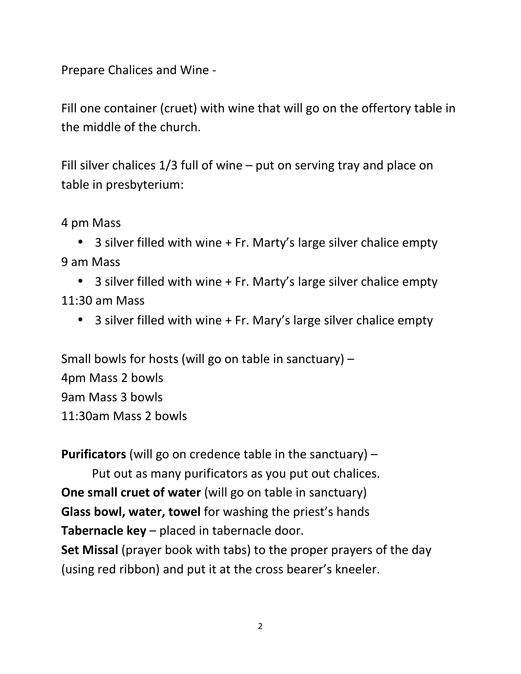Prepare Chalices and Wine -

Fill one container (cruet) with wine that will go on the offertory table in the middle of the church.

Fill silver chalices 1/3 full of wine – put on serving tray and place on table in presbyterium:

4 pm Mass

• 3 silver filled with wine + Fr. Marty's large silver chalice empty 9 am Mass

• 3 silver filled with wine + Fr. Marty's large silver chalice empty 11:30 am Mass

• 3 silver filled with wine + Fr. Mary's large silver chalice empty

Small bowls for hosts (will go on table in sanctuary) – 4pm Mass 2 bowls 9am Mass 3 bowls 11:30am Mass 2 bowls

**Purificators** (will go on credence table in the sanctuary) –

Put out as many purificators as you put out chalices. **One small cruet of water** (will go on table in sanctuary) **Glass bowl, water, towel** for washing the priest's hands **Tabernacle key** – placed in tabernacle door.

**Set Missal** (prayer book with tabs) to the proper prayers of the day (using red ribbon) and put it at the cross bearer's kneeler.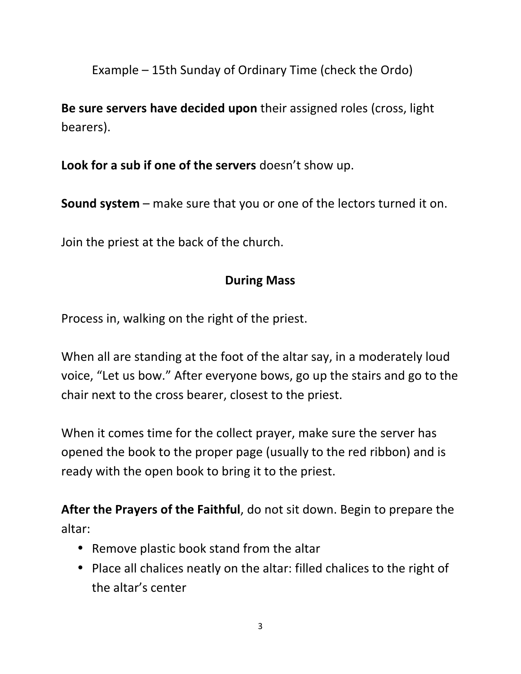Example – 15th Sunday of Ordinary Time (check the Ordo)

**Be sure servers have decided upon** their assigned roles (cross, light bearers).

**Look for a sub if one of the servers** doesn't show up.

**Sound system** – make sure that you or one of the lectors turned it on.

Join the priest at the back of the church.

## **During Mass**

Process in, walking on the right of the priest.

When all are standing at the foot of the altar say, in a moderately loud voice, "Let us bow." After everyone bows, go up the stairs and go to the chair next to the cross bearer, closest to the priest.

When it comes time for the collect prayer, make sure the server has opened the book to the proper page (usually to the red ribbon) and is ready with the open book to bring it to the priest.

**After the Prayers of the Faithful**, do not sit down. Begin to prepare the altar:

- Remove plastic book stand from the altar
- Place all chalices neatly on the altar: filled chalices to the right of the altar's center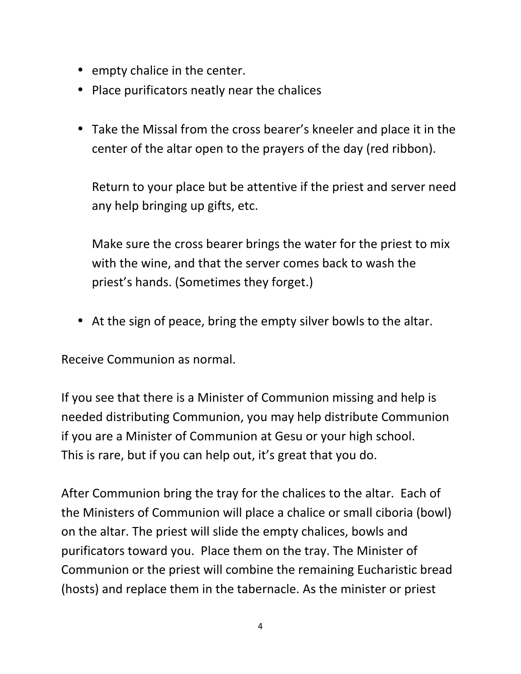- empty chalice in the center.
- Place purificators neatly near the chalices
- Take the Missal from the cross bearer's kneeler and place it in the center of the altar open to the prayers of the day (red ribbon).

Return to your place but be attentive if the priest and server need any help bringing up gifts, etc.

Make sure the cross bearer brings the water for the priest to mix with the wine, and that the server comes back to wash the priest's hands. (Sometimes they forget.)

• At the sign of peace, bring the empty silver bowls to the altar.

Receive Communion as normal.

If you see that there is a Minister of Communion missing and help is needed distributing Communion, you may help distribute Communion if you are a Minister of Communion at Gesu or your high school. This is rare, but if you can help out, it's great that you do.

After Communion bring the tray for the chalices to the altar. Each of the Ministers of Communion will place a chalice or small ciboria (bowl) on the altar. The priest will slide the empty chalices, bowls and purificators toward you. Place them on the tray. The Minister of Communion or the priest will combine the remaining Eucharistic bread (hosts) and replace them in the tabernacle. As the minister or priest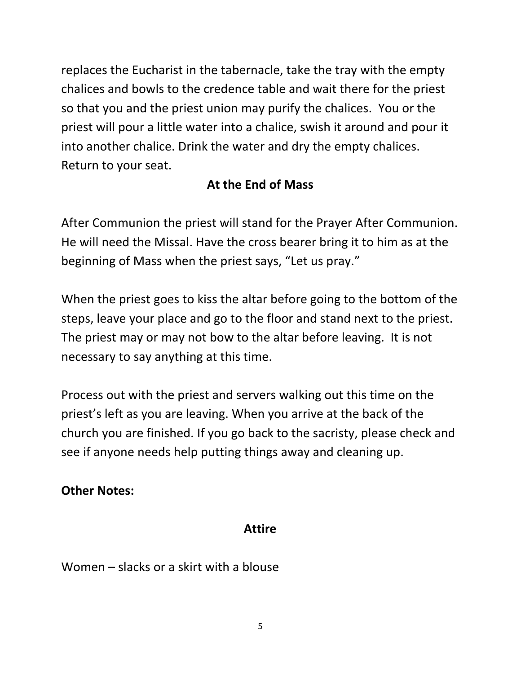replaces the Eucharist in the tabernacle, take the tray with the empty chalices and bowls to the credence table and wait there for the priest so that you and the priest union may purify the chalices. You or the priest will pour a little water into a chalice, swish it around and pour it into another chalice. Drink the water and dry the empty chalices. Return to your seat.

### **At the End of Mass**

After Communion the priest will stand for the Prayer After Communion. He will need the Missal. Have the cross bearer bring it to him as at the beginning of Mass when the priest says, "Let us pray."

When the priest goes to kiss the altar before going to the bottom of the steps, leave your place and go to the floor and stand next to the priest. The priest may or may not bow to the altar before leaving. It is not necessary to say anything at this time.

Process out with the priest and servers walking out this time on the priest's left as you are leaving. When you arrive at the back of the church you are finished. If you go back to the sacristy, please check and see if anyone needs help putting things away and cleaning up.

#### **Other Notes:**

#### **Attire**

Women – slacks or a skirt with a blouse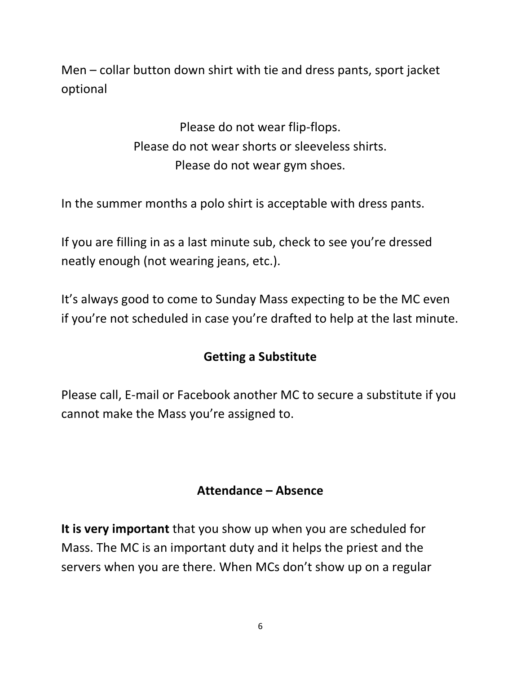Men – collar button down shirt with tie and dress pants, sport jacket optional

> Please do not wear flip-flops. Please do not wear shorts or sleeveless shirts. Please do not wear gym shoes.

In the summer months a polo shirt is acceptable with dress pants.

If you are filling in as a last minute sub, check to see you're dressed neatly enough (not wearing jeans, etc.).

It's always good to come to Sunday Mass expecting to be the MC even if you're not scheduled in case you're drafted to help at the last minute.

## **Getting a Substitute**

Please call, E-mail or Facebook another MC to secure a substitute if you cannot make the Mass you're assigned to.

#### **Attendance – Absence**

**It is very important** that you show up when you are scheduled for Mass. The MC is an important duty and it helps the priest and the servers when you are there. When MCs don't show up on a regular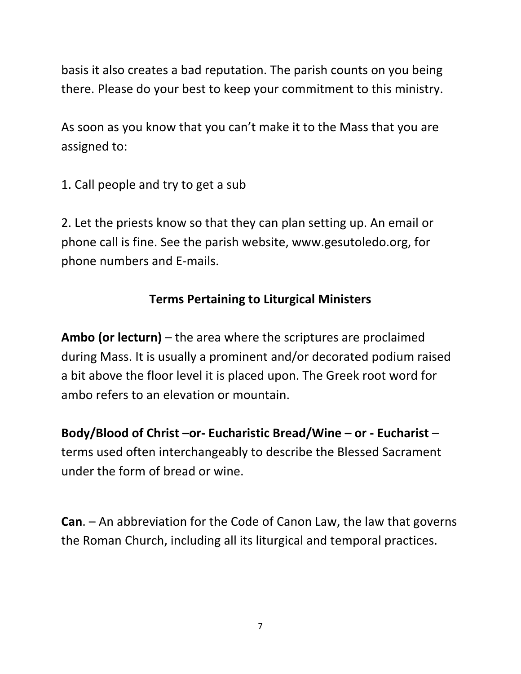basis it also creates a bad reputation. The parish counts on you being there. Please do your best to keep your commitment to this ministry.

As soon as you know that you can't make it to the Mass that you are assigned to:

1. Call people and try to get a sub

2. Let the priests know so that they can plan setting up. An email or phone call is fine. See the parish website, www.gesutoledo.org, for phone numbers and E-mails.

## **Terms Pertaining to Liturgical Ministers**

**Ambo (or lecturn)** – the area where the scriptures are proclaimed during Mass. It is usually a prominent and/or decorated podium raised a bit above the floor level it is placed upon. The Greek root word for ambo refers to an elevation or mountain.

**Body/Blood of Christ –or- Eucharistic Bread/Wine – or - Eucharist** – terms used often interchangeably to describe the Blessed Sacrament under the form of bread or wine.

**Can**. – An abbreviation for the Code of Canon Law, the law that governs the Roman Church, including all its liturgical and temporal practices.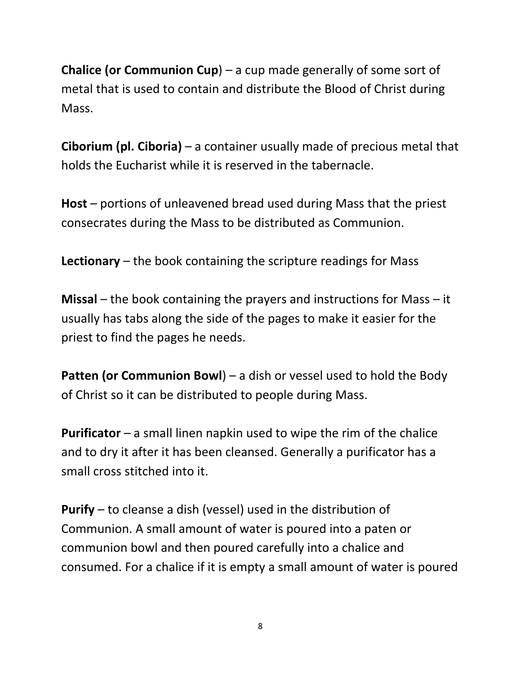**Chalice (or Communion Cup**) – a cup made generally of some sort of metal that is used to contain and distribute the Blood of Christ during Mass.

**Ciborium (pl. Ciboria)** – a container usually made of precious metal that holds the Eucharist while it is reserved in the tabernacle.

**Host** – portions of unleavened bread used during Mass that the priest consecrates during the Mass to be distributed as Communion.

**Lectionary** – the book containing the scripture readings for Mass

**Missal** – the book containing the prayers and instructions for Mass – it usually has tabs along the side of the pages to make it easier for the priest to find the pages he needs.

**Patten (or Communion Bowl)** – a dish or vessel used to hold the Body of Christ so it can be distributed to people during Mass.

**Purificator** – a small linen napkin used to wipe the rim of the chalice and to dry it after it has been cleansed. Generally a purificator has a small cross stitched into it.

**Purify** – to cleanse a dish (vessel) used in the distribution of Communion. A small amount of water is poured into a paten or communion bowl and then poured carefully into a chalice and consumed. For a chalice if it is empty a small amount of water is poured